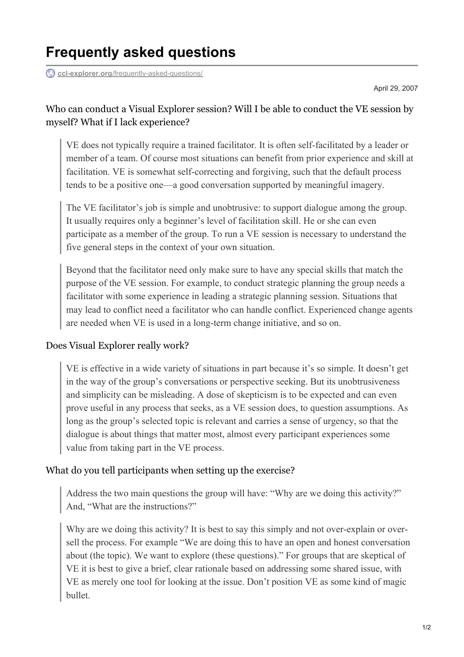# **Frequently asked questions**

**ccl-explorer.org**[/frequently-asked-questions/](https://ccl-explorer.org/frequently-asked-questions/)

April 29, 2007

#### Who can conduct a Visual Explorer session? Will I be able to conduct the VE session by myself? What if I lack experience?

VE does not typically require a trained facilitator. It is often self-facilitated by a leader or member of a team. Of course most situations can benefit from prior experience and skill at facilitation. VE is somewhat self-correcting and forgiving, such that the default process tends to be a positive one—a good conversation supported by meaningful imagery.

The VE facilitator's job is simple and unobtrusive: to support dialogue among the group. It usually requires only a beginner's level of facilitation skill. He or she can even participate as a member of the group. To run a VE session is necessary to understand the five general steps in the context of your own situation.

Beyond that the facilitator need only make sure to have any special skills that match the purpose of the VE session. For example, to conduct strategic planning the group needs a facilitator with some experience in leading a strategic planning session. Situations that may lead to conflict need a facilitator who can handle conflict. Experienced change agents are needed when VE is used in a long-term change initiative, and so on.

#### Does Visual Explorer really work?

VE is effective in a wide variety of situations in part because it's so simple. It doesn't get in the way of the group's conversations or perspective seeking. But its unobtrusiveness and simplicity can be misleading. A dose of skepticism is to be expected and can even prove useful in any process that seeks, as a VE session does, to question assumptions. As long as the group's selected topic is relevant and carries a sense of urgency, so that the dialogue is about things that matter most, almost every participant experiences some value from taking part in the VE process.

#### What do you tell participants when setting up the exercise?

Address the two main questions the group will have: "Why are we doing this activity?" And, "What are the instructions?"

Why are we doing this activity? It is best to say this simply and not over-explain or oversell the process. For example "We are doing this to have an open and honest conversation about (the topic). We want to explore (these questions)." For groups that are skeptical of VE it is best to give a brief, clear rationale based on addressing some shared issue, with VE as merely one tool for looking at the issue. Don't position VE as some kind of magic bullet.